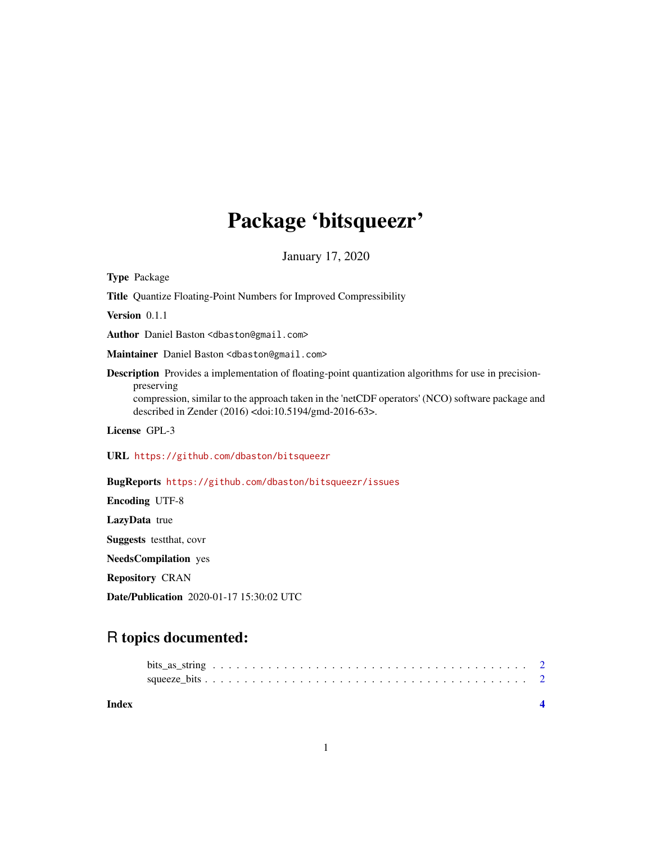## Package 'bitsqueezr'

January 17, 2020

Type Package Title Quantize Floating-Point Numbers for Improved Compressibility Version 0.1.1 Author Daniel Baston <dbaston@gmail.com> Maintainer Daniel Baston <dbaston@gmail.com> **Description** Provides a implementation of floating-point quantization algorithms for use in precisionpreserving compression, similar to the approach taken in the 'netCDF operators' (NCO) software package and described in Zender (2016) <doi:10.5194/gmd-2016-63>. License GPL-3 URL <https://github.com/dbaston/bitsqueezr> BugReports <https://github.com/dbaston/bitsqueezr/issues> Encoding UTF-8 LazyData true Suggests testthat, covr NeedsCompilation yes Repository CRAN

Date/Publication 2020-01-17 15:30:02 UTC

### R topics documented: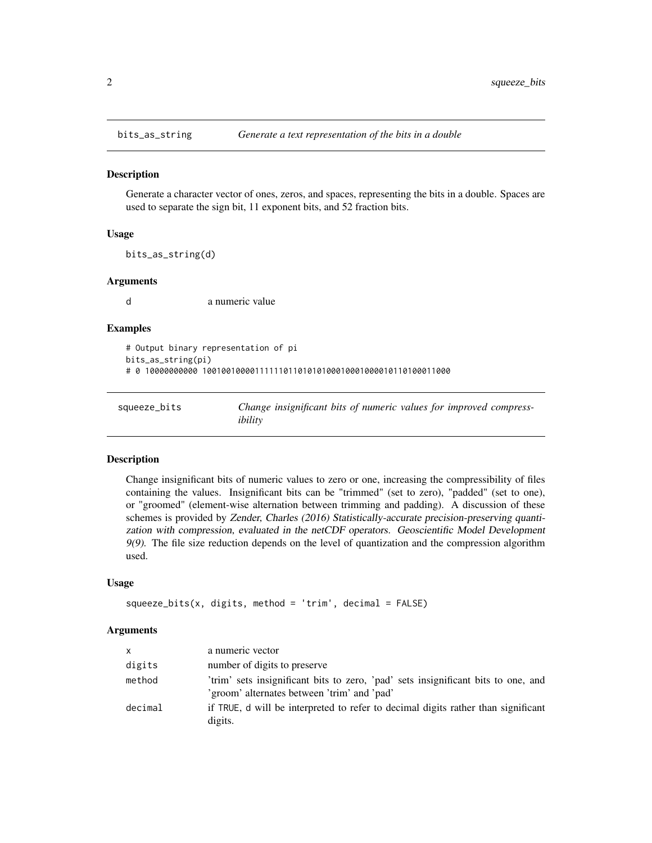<span id="page-1-0"></span>

#### Description

Generate a character vector of ones, zeros, and spaces, representing the bits in a double. Spaces are used to separate the sign bit, 11 exponent bits, and 52 fraction bits.

#### Usage

bits\_as\_string(d)

#### Arguments

d a numeric value

#### Examples

```
# Output binary representation of pi
bits_as_string(pi)
# 0 10000000000 1001001000011111101101010100010001000010110100011000
```

| squeeze_bits | Change insignificant bits of numeric values for improved compress- |
|--------------|--------------------------------------------------------------------|
|              | ibility                                                            |

#### Description

Change insignificant bits of numeric values to zero or one, increasing the compressibility of files containing the values. Insignificant bits can be "trimmed" (set to zero), "padded" (set to one), or "groomed" (element-wise alternation between trimming and padding). A discussion of these schemes is provided by Zender, Charles (2016) Statistically-accurate precision-preserving quantization with compression, evaluated in the netCDF operators. Geoscientific Model Development 9(9). The file size reduction depends on the level of quantization and the compression algorithm used.

#### Usage

```
squeeze_bits(x, digits, method = 'trim', decimal = FALSE)
```
#### Arguments

| <b>X</b> | a numeric vector                                                                                                                 |
|----------|----------------------------------------------------------------------------------------------------------------------------------|
| digits   | number of digits to preserve                                                                                                     |
| method   | 'trim' sets insignificant bits to zero, 'pad' sets insignificant bits to one, and<br>'groom' alternates between 'trim' and 'pad' |
| decimal  | if TRUE, d will be interpreted to refer to decimal digits rather than significant<br>digits.                                     |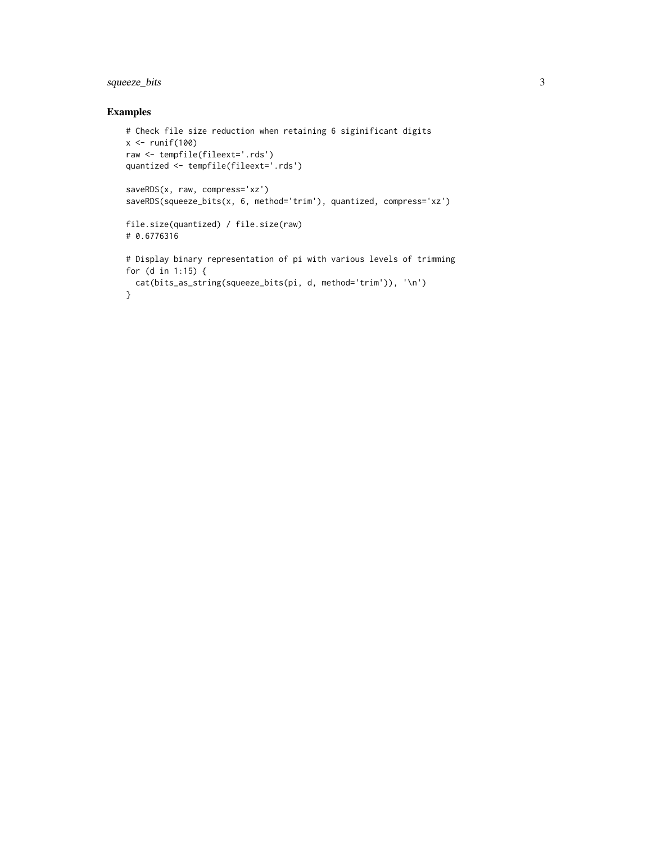#### squeeze\_bits 3

#### Examples

```
# Check file size reduction when retaining 6 siginificant digits
x \leftarrow runif(100)raw <- tempfile(fileext='.rds')
quantized <- tempfile(fileext='.rds')
saveRDS(x, raw, compress='xz')
saveRDS(squeeze_bits(x, 6, method='trim'), quantized, compress='xz')
file.size(quantized) / file.size(raw)
# 0.6776316
# Display binary representation of pi with various levels of trimming
for (d in 1:15) {
 cat(bits_as_string(squeeze_bits(pi, d, method='trim')), '\n')
}
```